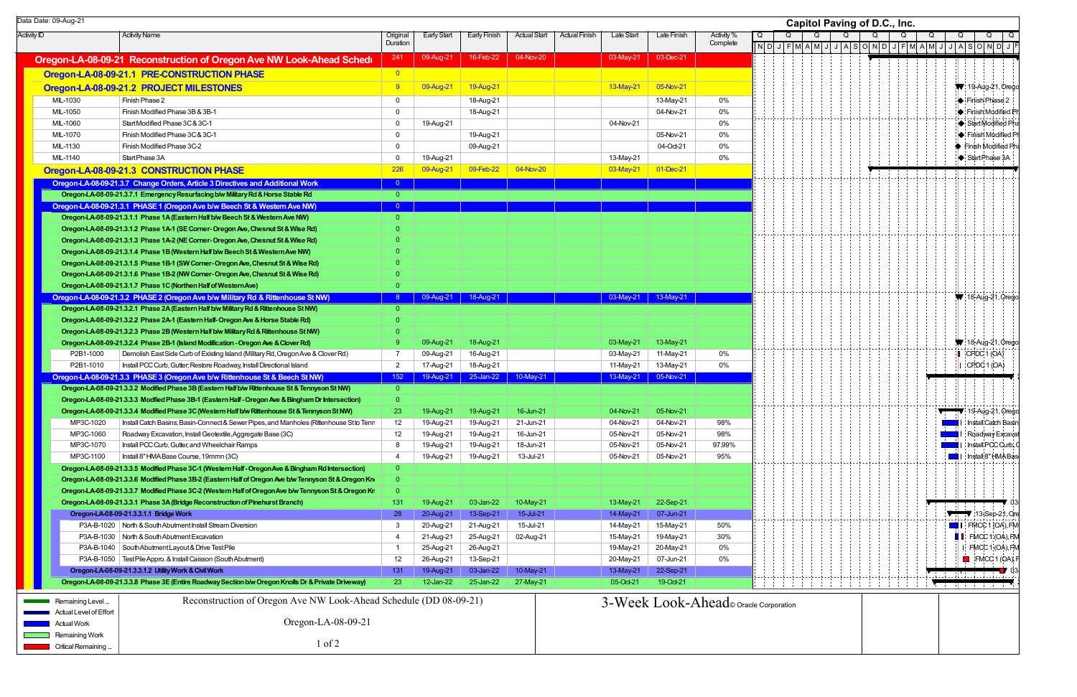| Data Date: 09-Aug-21              |                                                                                                                                                                         |                      |                        |                               |                     |               |                        |                          |                                   | Capitol Paving of D.C., Inc.                                            |  |                         |                                         |
|-----------------------------------|-------------------------------------------------------------------------------------------------------------------------------------------------------------------------|----------------------|------------------------|-------------------------------|---------------------|---------------|------------------------|--------------------------|-----------------------------------|-------------------------------------------------------------------------|--|-------------------------|-----------------------------------------|
| <b>Activity ID</b>                | <b>Activity Name</b>                                                                                                                                                    | Original<br>Duration | Early Start            | Early Finish                  | <b>Actual Start</b> | Actual Finish | Late Start             | Late Finish              | Activity <sup>9</sup><br>Complete | Q<br>$\vert\vert$ N D J F M A M J J A S O N D J F M A M J J A S O N D J |  | Q                       | Q                                       |
|                                   | Oregon-LA-08-09-21 Reconstruction of Oregon Ave NW Look-Ahead Schedu                                                                                                    | 241                  | 09-Aug-21              | 16-Feb-22                     | 04-Nov-20           |               | 03-May-21              | 03-Dec-21                |                                   |                                                                         |  |                         |                                         |
|                                   | Oregon-LA-08-09-21.1 PRE-CONSTRUCTION PHASE                                                                                                                             |                      |                        |                               |                     |               |                        |                          |                                   |                                                                         |  |                         |                                         |
|                                   | Oregon-LA-08-09-21.2 PROJECT MILESTONES                                                                                                                                 |                      | 09-Aug-21              | 19-Aug-21                     |                     |               | 13-May-21              | 05-Nov-21                |                                   |                                                                         |  |                         | 19-Aug-21, Orego                        |
| MIL-1030                          | Finish Phase 2                                                                                                                                                          |                      |                        | 18-Aug-21                     |                     |               |                        | 13-May-21                | 0%                                |                                                                         |  |                         | Finish Phase 2                          |
| MIL-1050                          | Finish Modified Phase 3B & 3B-1                                                                                                                                         | $\Omega$             |                        | 18-Aug-21                     |                     |               |                        | 04-Nov-21                | 0%                                |                                                                         |  |                         | $\blacktriangleright$ Finish Modified P |
| MIL-1060                          | Start Modified Phase 3C & 3C-1                                                                                                                                          |                      | 19-Aug-21              |                               |                     |               | 04-Nov-21              |                          | 0%                                |                                                                         |  |                         | StartModified Ph                        |
| MIL-1070                          | Finish Modified Phase 3C & 3C-1                                                                                                                                         |                      |                        | 19-Aug-21                     |                     |               |                        | 05-Nov-21                | 0%                                |                                                                         |  |                         | <b>No Finish Modified F</b>             |
| MIL-1130                          | Finish Modified Phase 3C-2                                                                                                                                              |                      |                        | 09-Aug-21                     |                     |               |                        | 04-Oct-21                | 0%                                |                                                                         |  |                         | Finish Modified Ph                      |
| MIL-1140                          | Start Phase 3A                                                                                                                                                          |                      | 19-Aug-21              |                               |                     |               | 13-May-21              |                          | 0%                                |                                                                         |  |                         | Start Phase 3A                          |
|                                   | Oregon-LA-08-09-21.3 CONSTRUCTION PHASE                                                                                                                                 | 226                  | 09-Aug-21              | 09-Feb-22                     | 04-Nov-20           |               | 03-May-21              | $01 - Dec-21$            |                                   |                                                                         |  |                         |                                         |
|                                   | Oregon-LA-08-09-21.3.7 Change Orders, Article 3 Directives and Additional Work                                                                                          |                      |                        |                               |                     |               |                        |                          |                                   |                                                                         |  |                         |                                         |
|                                   | Oregon-LA-08-09-21.3.7.1 Emergency Resurfacing b/w Military Rd & Horse Stable Rd                                                                                        | - 0 -                |                        |                               |                     |               |                        |                          |                                   |                                                                         |  |                         |                                         |
|                                   | Oregon-LA-08-09-21.3.1 PHASE 1 (Oregon Ave b/w Beech St & Western Ave NW)                                                                                               | $\overline{0}$       |                        |                               |                     |               |                        |                          |                                   |                                                                         |  |                         |                                         |
|                                   | Oregon-LA-08-09-21.3.1.1 Phase 1A (Eastern Half b/w Beech St & Western Ave NW)                                                                                          |                      |                        |                               |                     |               |                        |                          |                                   |                                                                         |  |                         |                                         |
|                                   | Oregon-LA-08-09-21.3.1.2 Phase 1A-1 (SE Corner-Oregon Ave, Chesnut St & Wise Rd)                                                                                        |                      |                        |                               |                     |               |                        |                          |                                   |                                                                         |  |                         |                                         |
|                                   | Oregon-LA-08-09-21.3.1.3 Phase 1A-2 (NE Corner-Oregon Ave, Chesnut St & Wise Rd)                                                                                        |                      |                        |                               |                     |               |                        |                          |                                   |                                                                         |  |                         |                                         |
|                                   | Oregon-LA-08-09-21.3.1.4 Phase 1B (Western Half b/w Beech St & Western Ave NW)                                                                                          |                      |                        |                               |                     |               |                        |                          |                                   |                                                                         |  |                         |                                         |
|                                   | Oregon-LA-08-09-21.3.1.5 Phase 1B-1 (SW Corner-Oregon Ave, Chesnut St & Wise Rd)                                                                                        |                      |                        |                               |                     |               |                        |                          |                                   |                                                                         |  |                         |                                         |
|                                   | Oregon-LA-08-09-21.3.1.6 Phase 1B-2 (NW Corner-Oregon Ave, Chesnut St & Wise Rd)                                                                                        |                      |                        |                               |                     |               |                        |                          |                                   |                                                                         |  |                         |                                         |
|                                   | Oregon-LA-08-09-21.3.1.7 Phase 1C (Northen Half of Western Ave)                                                                                                         |                      |                        |                               |                     |               |                        |                          |                                   |                                                                         |  |                         |                                         |
|                                   | Oregon-LA-08-09-21.3.2 PHASE 2 (Oregon Ave b/w Military Rd & Rittenhouse St NW)<br>Oregon-LA-08-09-21.3.2.1 Phase 2A (Eastern Half b/w Military Rd & Rittenhouse St NW) |                      |                        | 09-Aug-21   18-Aug-21         |                     |               |                        | $03$ -May-21   13-May-21 |                                   |                                                                         |  |                         | $\blacktriangledown$ 18-Aug-21, Orego   |
|                                   | Oregon-LA-08-09-21.3.2.2 Phase 2A-1 (Eastern Half-Oregon Ave & Horse Stable Rd)                                                                                         |                      |                        |                               |                     |               |                        |                          |                                   |                                                                         |  |                         |                                         |
|                                   | Oregon-LA-08-09-21.3.2.3 Phase 2B (Western Half b/w Military Rd & Rittenhouse St NW)                                                                                    |                      |                        |                               |                     |               |                        |                          |                                   |                                                                         |  |                         |                                         |
|                                   | Oregon-LA-08-09-21.3.2.4 Phase 2B-1 (Island Modification - Oregon Ave & Clover Rd)                                                                                      |                      | 09-Aug-21              | 18-Aug-21                     |                     |               | 03-May-21              | 13-May-21                |                                   |                                                                         |  |                         | ₩ 18-Aug-21, Orego                      |
| P2B1-1000                         | Demolish East Side Curb of Existing Island (Military Rd, Oregon Ave & Clover Rd)                                                                                        |                      | 09-Aug-21              | 16-Aug-21                     |                     |               | 03-May-21              | 11-May-21                | 0%                                |                                                                         |  | $\Box$ CPDC 1 (OA)      |                                         |
| P2B1-1010                         | Install PCC Curb, Gutter; Restore Roadway, Install Directional Island                                                                                                   | 2                    | 17-Aug-21              | 18-Aug-21                     |                     |               | 11-May-21              | 13-May-21                | 0%                                |                                                                         |  | $\vert$ CPDC 1 (OA)     |                                         |
|                                   | Oregon-LA-08-09-21.3.3 PHASE 3 (Oregon Ave b/w Rittenhouse St & Beech St NW)                                                                                            | 152                  |                        | 19-Aug-21 25-Jan-22 10-May-21 |                     |               |                        | 13-May-21 05-Nov-21      |                                   |                                                                         |  |                         |                                         |
|                                   | Oregon-LA-08-09-21.3.3.2 Modified Phase 3B (Eastern Half b/w Rittenhouse St & Tennyson St NW)                                                                           | - റ                  |                        |                               |                     |               |                        |                          |                                   |                                                                         |  |                         |                                         |
|                                   | Oregon-LA-08-09-21.3.3.3 Modfied Phase 3B-1 (Eastern Half - Oregon Ave & Bingham Dr Intersection)                                                                       |                      |                        |                               |                     |               |                        |                          |                                   |                                                                         |  |                         |                                         |
|                                   | Oregon-LA-08-09-21.3.3.4 Modified Phase 3C (Western Half b/w Rittenhouse St & Tennyson St NW)                                                                           | <b>23</b>            | 19-Aug-21              | 19-Aug-21                     | 16-Jun-21           |               | 04-Nov-21              | 05-Nov-21                |                                   |                                                                         |  |                         | 19-Aug-21, Orego                        |
| MP3C-1020                         | Install Catch Basins, Basin-Connect & Sewer Pipes, and Manholes (Rittenhouse St to Tenn                                                                                 | 12                   | 19-Aug-21              | 19-Aug-21                     | 21-Jun-21           |               | 04-Nov-21              | 04-Nov-21                | 98%                               |                                                                         |  |                         | <b>Notal</b> I : Install Catch Basir    |
| MP3C-1060                         | Roadway Excavation, Install Geotextile, Aggregate Base (3C)                                                                                                             | 12                   | 19-Aug-21              | 19-Aug-21                     | 16-Jun-21           |               | 05-Nov-21              | 05-Nov-21                | 98%                               |                                                                         |  |                         | <b>No Roadway Excava</b>                |
| MP3C-1070                         | Install PCC Curb, Gutter, and Wheelchair Ramps                                                                                                                          |                      | 19-Aug-21              | 19-Aug-21                     | 18-Jun-21           |               | 05-Nov-21              | 05-Nov-21                | 97.99%                            |                                                                         |  |                         | <b>No. 4</b> I Install PCC Curb,        |
| MP3C-1100                         | Install 8"HMA Base Course, 19mmn (3C)                                                                                                                                   |                      | 19-Aug-21              | 19-Aug-21                     | 13-Jul-21           |               | 05-Nov-21              | 05-Nov-21                | 95%                               |                                                                         |  |                         | <b>THE I</b> Install 8" HMA Bas         |
|                                   | Oregon-LA-08-09-21.3.3.5 Modified Phase 3C-1 (Western Half - Oregon Ave & Bingham Rd Intersection)                                                                      |                      |                        |                               |                     |               |                        |                          |                                   |                                                                         |  |                         |                                         |
|                                   | Oregon-LA-08-09-21.3.3.6 Modified Phase 3B-2 (Eastern Half of Oregon Ave b/w Tennyson St & Oregon Kn                                                                    |                      |                        |                               |                     |               |                        |                          |                                   |                                                                         |  |                         |                                         |
|                                   | Oregon-LA-08-09-21.3.3.7 Modified Phase 3C-2 (Western Half of Oregon Ave b/w Tennyson St & Oregon Kr                                                                    |                      |                        |                               |                     |               |                        |                          |                                   |                                                                         |  |                         |                                         |
|                                   | Oregon-LA-08-09-21.3.3.1 Phase 3A (Bridge Reconstruction of Pinehurst Branch)                                                                                           | 131 <sub>1</sub>     | 19-Aug-21              | 03-Jan-22                     | 10-May-21           |               | 13-May-21              | 22-Sep-21                |                                   |                                                                         |  |                         |                                         |
|                                   | Oregon-LA-08-09-21.3.3.1.1 Bridge Work                                                                                                                                  | 28                   | 20-Aug-21              | 13-Sep-21                     | 15-Jul-21           |               | 14-May-21              | 07-Jun-21                |                                   |                                                                         |  |                         | $13-$ Sep-21, O                         |
|                                   | P3A-B-1020   North & South Abutment Install Stream Diversion                                                                                                            |                      | 20-Aug-21              | 21-Aug-21                     | 15-Jul-21           |               | 14-May-21              | 15-May-21                | 50%                               |                                                                         |  |                         | $\Box$ I FMCC 1 (OA), FM                |
|                                   | P3A-B-1030 North & South Abutment Excavation                                                                                                                            |                      | 21-Aug-21              | 25-Aug-21                     | 02-Aug-21           |               | 15-May-21              | 19-May-21                | 30%                               |                                                                         |  |                         | <b>I</b> FMCC 1 (OA), FM                |
|                                   | P3A-B-1040 South Abutment Layout & Drive Test Pile                                                                                                                      |                      | 25-Aug-21              | 26-Aug-21                     |                     |               | 19-May-21              | 20-May-21<br>07-Jun-21   | 0%<br>0%                          |                                                                         |  |                         | I FMCC 1 (OA), FM                       |
|                                   | P3A-B-1050   Test Pile Appro. & Install Caisson (South Abutment)<br>Oregon-LA-08-09-21.3.3.1.2 Utility Work & Civil Work                                                | 12<br>131            | 26-Aug-21<br>19-Aug-21 | 13-Sep-21<br>03-Jan-22        | 10-May-21           |               | 20-May-21<br>13-May-21 | 22-Sep-21                |                                   |                                                                         |  |                         | $\blacksquare$ FMCC 1 (OA),             |
|                                   | Oregon-LA-08-09-21.3.3.8 Phase 3E (Entire Roadway Section b/w Oregon Knolls Dr & Private Driveway)                                                                      | 23 <sup>2</sup>      | 12-Jan-22              | 25-Jan-22                     | 27-May-21           |               | 05-Oct-21              | 19-Oct-21                |                                   |                                                                         |  |                         |                                         |
|                                   |                                                                                                                                                                         |                      |                        |                               |                     |               |                        |                          |                                   |                                                                         |  | de de la componencia de |                                         |
| <b>EXAMPLE Remaining Level</b>    | Reconstruction of Oregon Ave NW Look-Ahead Schedule (DD 08-09-21)                                                                                                       |                      |                        |                               |                     |               |                        |                          |                                   | 3-Week Look-Ahead oracle Corporation                                    |  |                         |                                         |
| Actual Level of Effort            |                                                                                                                                                                         |                      |                        |                               |                     |               |                        |                          |                                   |                                                                         |  |                         |                                         |
| <b>Actual Work</b>                | Oregon-LA-08-09-21                                                                                                                                                      |                      |                        |                               |                     |               |                        |                          |                                   |                                                                         |  |                         |                                         |
| Remaining Work                    | $1$ of $2$                                                                                                                                                              |                      |                        |                               |                     |               |                        |                          |                                   |                                                                         |  |                         |                                         |
| <b>EXAMPLE</b> Critical Remaining |                                                                                                                                                                         |                      |                        |                               |                     |               |                        |                          |                                   |                                                                         |  |                         |                                         |